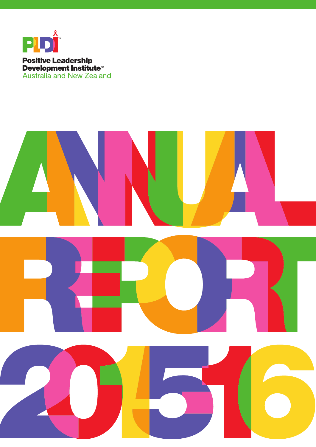

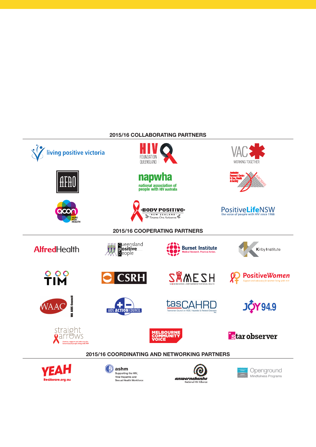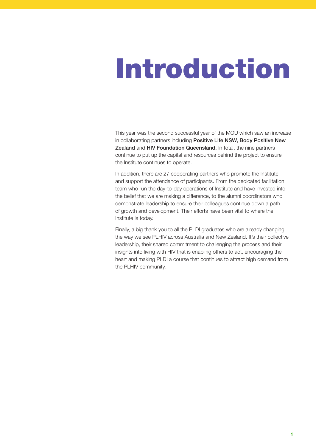# Introduction

This year was the second successful year of the MOU which saw an increase in collaborating partners including [Positive Life NSW,](http://www.positivelife.org.au) Body Positive New [Zealand](http://www.bodypositive.org.nz) and [HIV Foundation Queensland.](http://www.hivfoundation.org.au) In total, the nine partners continue to put up the capital and resources behind the project to ensure the Institute continues to operate.

In addition, there are 27 cooperating partners who promote the Institute and support the attendance of participants. From the dedicated facilitation team who run the day-to-day operations of Institute and have invested into the belief that we are making a difference, to the alumni coordinators who demonstrate leadership to ensure their colleagues continue down a path of growth and development. Their efforts have been vital to where the Institute is today.

Finally, a big thank you to all the PLDI graduates who are already changing the way we see PLHIV across Australia and New Zealand. It's their collective leadership, their shared commitment to challenging the process and their insights into living with HIV that is enabling others to act, encouraging the heart and making PLDI a course that continues to attract high demand from the PLHIV community.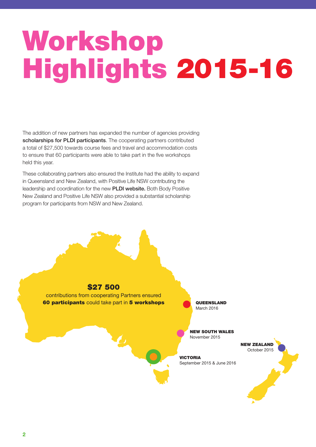# Workshop Highlights 2015-16

The addition of new partners has expanded the number of agencies providing [scholarships for PLDI participants](http://www.pldiaustralia.org.au/apply). The cooperating partners contributed a total of \$27,500 towards course fees and travel and accommodation costs to ensure that 60 participants were able to take part in the five workshops held this year.

These collaborating partners also ensured the Institute had the ability to expand in Queensland and New Zealand, with Positive Life NSW contributing the leadership and coordination for the new [PLDI website.](http://www.pldiaustralia.org.au) Both Body Positive New Zealand and Positive Life NSW also provided a substantial scholarship program for participants from NSW and New Zealand.



contributions from cooperating Partners ensured 60 participants could take part in 5 workshops

**QUEENSLAND** March 2016

NEW SOUTH WALES November 2015

VICTORIA September 2015 & June 2016

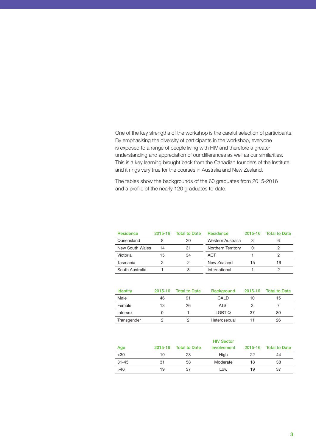One of the key strengths of the workshop is the careful selection of participants. By emphasising the diversity of participants in the workshop, everyone is exposed to a range of people living with HIV and therefore a greater understanding and appreciation of our differences as well as our similarities. This is a key learning brought back from the Canadian founders of the Institute and it rings very true for the courses in Australia and New Zealand.

The tables show the backgrounds of the 60 graduates from 2015-2016 and a profile of the nearly 120 graduates to date.

| <b>Residence</b> | $2015 - 16$ | <b>Total to Date</b> | <b>Residence</b>   | 2015-16 | <b>Total to Date</b> |
|------------------|-------------|----------------------|--------------------|---------|----------------------|
| Queensland       |             | 20                   | Western Australia  | 3       | 6                    |
| New South Wales  | 14          | 31                   | Northern Territory |         |                      |
| Victoria         | 15          | 34                   | ACT                |         |                      |
| Tasmania         |             |                      | New Zealand        | 15      | 16                   |
| South Australia  |             | З                    | International      |         |                      |

| <b>Identity</b> | $2015 - 16$ | Total to Date | <b>Background</b> |    | 2015-16 Total to Date |
|-----------------|-------------|---------------|-------------------|----|-----------------------|
| Male            | 46          | 91            | CALD              | 10 | 15                    |
| Female          | 13          | 26            | <b>ATSI</b>       |    |                       |
| <b>Intersex</b> |             |               | <b>LGBTIO</b>     | 37 | 80                    |
| Transgender     |             |               | Heterosexual      |    | 26                    |

|           |         | <b>HIV Sector</b> |             |    |                       |  |  |
|-----------|---------|-------------------|-------------|----|-----------------------|--|--|
| Age       | 2015-16 | Total to Date     | Involvement |    | 2015-16 Total to Date |  |  |
| $30$      | 10      | 23                | High        | 22 | 44                    |  |  |
| $31 - 45$ | 31      | 58                | Moderate    | 18 | 38                    |  |  |
| >46       | 19      | 37                | Low         | 19 | 37                    |  |  |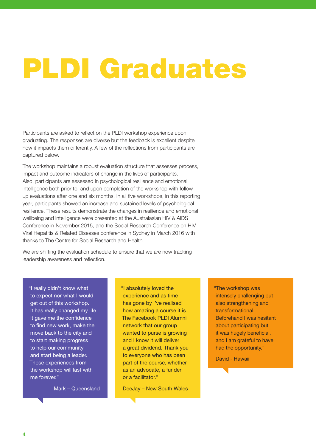## PLDI Graduates

Participants are asked to reflect on the PLDI workshop experience upon graduating. The responses are diverse but the feedback is excellent despite how it impacts them differently. A few of the reflections from participants are captured below.

The workshop maintains a robust evaluation structure that assesses process, impact and outcome indicators of change in the lives of participants. Also, participants are assessed in psychological resilience and emotional intelligence both prior to, and upon completion of the workshop with follow up evaluations after one and six months. In all five workshops, in this reporting year, participants showed an increase and sustained levels of psychological resilience. These results demonstrate the changes in resilience and emotional wellbeing and intelligence were presented at the Australasian HIV & AIDS Conference in November 2015, and the Social Research Conference on HIV, Viral Hepatitis & Related Diseases conference in Sydney in March 2016 with thanks to The Centre for Social Research and Health.

We are shifting the evaluation schedule to ensure that we are now tracking leadership awareness and reflection.

"I really didn't know what to expect nor what I would get out of this workshop. It has really changed my life. It gave me the confidence to find new work, make the move back to the city and to start making progress to help our community and start being a leader. Those experiences from the workshop will last with me forever."

Mark – Queensland

"I absolutely loved the experience and as time has gone by I've realised how amazing a course it is. The Facebook PLDI Alumni network that our group wanted to purse is growing and I know it will deliver a great dividend. Thank you to everyone who has been part of the course, whether as an advocate, a funder or a facilitator."

DeeJay – New South Wales

"The workshop was intensely challenging but also strengthening and transformational. Beforehand I was hesitant about participating but it was hugely beneficial, and I am grateful to have had the opportunity."

David - Hawaii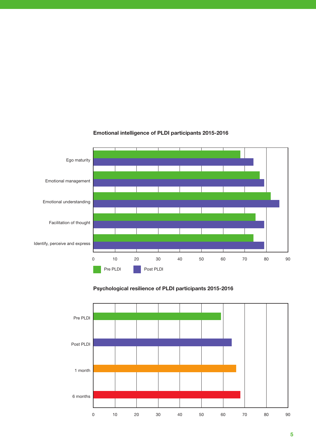

### Emotional intelligence of PLDI participants 2015-2016

## Psychological resilience of PLDI participants 2015-2016

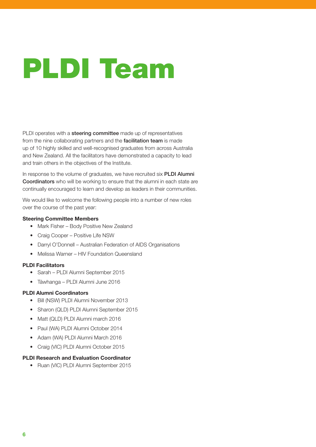# PLDI Team

PLDI operates with a [steering committee](http://www.pldiaustralia.org.au/about/oversight-team-profiles) made up of representatives from the nine collaborating partners and the [facilitation team](http://www.pldiaustralia.org.au/about/team-members-profiles) is made up of 10 highly skilled and well-recognised graduates from across Australia and New Zealand. All the facilitators have demonstrated a capacity to lead and train others in the objectives of the Institute.

In response to the volume of graduates, we have recruited six **PLDI Alumni** [Coordinators](http://www.pldiaustralia.org.au/about/state-alumni-coordinators) who will be working to ensure that the alumni in each state are continually encouraged to learn and develop as leaders in their communities.

We would like to welcome the following people into a number of new roles over the course of the past year:

### Steering Committee Members

- Mark Fisher Body Positive New Zealand
- Craig Cooper Positive Life NSW
- Darryl O'Donnell Australian Federation of AIDS Organisations
- Melissa Warner HIV Foundation Queensland

### PLDI Facilitators

- Sarah PLDI Alumni September 2015
- Táwhanga PLDI Alumni June 2016

### PLDI Alumni Coordinators

- Bill (NSW) PLDI Alumni November 2013
- Sharon (QLD) PLDI Alumni September 2015
- Matt (QLD) PLDI Alumni march 2016
- Paul (WA) PLDI Alumni October 2014
- Adam (WA) PLDI Alumni March 2016
- Craig (VIC) PLDI Alumni October 2015

### PLDI Research and Evaluation Coordinator

• Ruan (VIC) PLDI Alumni September 2015